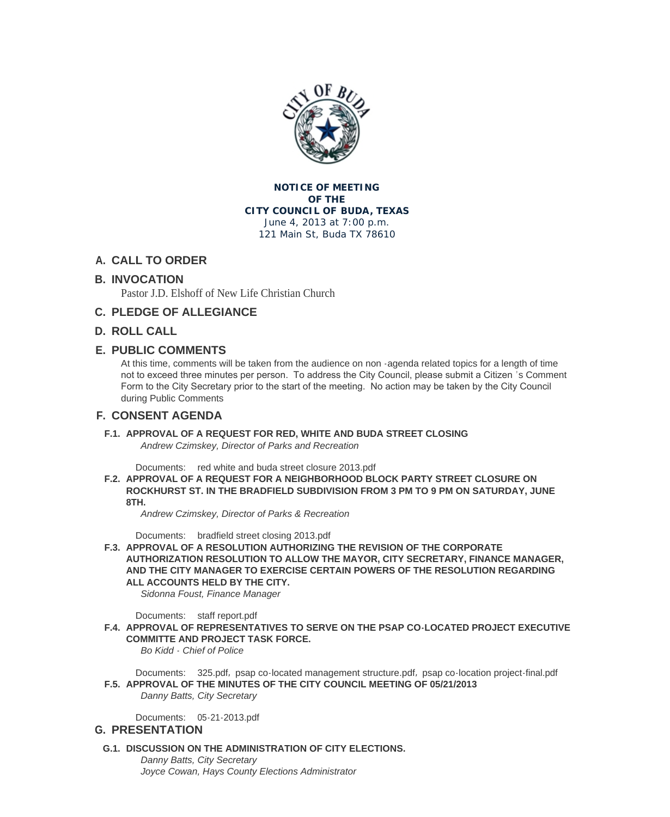

### **NOTICE OF MEETING OF THE CITY COUNCIL OF BUDA, TEXAS** June 4, 2013 at 7:00 p.m.

121 Main St, Buda TX 78610

# **CALL TO ORDER A.**

## **INVOCATION B.**

Pastor J.D. Elshoff of New Life Christian Church

# **PLEDGE OF ALLEGIANCE C.**

## **ROLL CALL D.**

## **PUBLIC COMMENTS E.**

At this time, comments will be taken from the audience on non -agenda related topics for a length of time not to exceed three minutes per person. To address the City Council, please submit a Citizen 's Comment Form to the City Secretary prior to the start of the meeting. No action may be taken by the City Council during Public Comments

## **CONSENT AGENDA F.**

**APPROVAL OF A REQUEST FOR RED, WHITE AND BUDA STREET CLOSING F.1.** *Andrew Czimskey, Director of Parks and Recreation*

Documents: red white and buda street closure 2013.pdf

**APPROVAL OF A REQUEST FOR A NEIGHBORHOOD BLOCK PARTY STREET CLOSURE ON F.2. ROCKHURST ST. IN THE BRADFIELD SUBDIVISION FROM 3 PM TO 9 PM ON SATURDAY, JUNE 8TH.**

*Andrew Czim[skey, Director of Parks & Recreation](http://ci.buda.tx.us/AgendaCenter/ViewFile/Item/353?fileID=817)*

Documents: bradfield street closing 2013.pdf

**APPROVAL OF A RESOLUTION AUTHORIZING THE REVISION OF THE CORPORATE F.3. AUTHORIZATION RESOLUTION TO ALLOW THE MAYOR, CITY SECRETARY, FINANCE MANAGER, AND THE CITY MANAGER TO EXERCISE CERTAIN POWERS OF THE RESOLUTION REGARDING ALL ACCOUNT[S HELD BY THE CITY.](http://ci.buda.tx.us/AgendaCenter/ViewFile/Item/347?fileID=816)**

*Sidonna Foust, Finance Manager*

Documents: staff report.pdf

F.4. APPROVAL OF REPRESENTATIVES TO SERVE ON THE PSAP CO-LOCATED PROJECT EXECUTIVE **COMMITTE AND PROJECT TASK FORCE.**

*Bo Kidd - Chief of Police*

Documents: [325.pdf](http://ci.buda.tx.us/AgendaCenter/ViewFile/Item/350?fileID=811), psap co-located management structure.pdf, psap co-location project-final.pdf **APPROVAL OF THE MINUTES OF THE CITY COUNCIL MEETING OF 05/21/2013 F.5.** *Danny Batts, City Secretary*

[05-21-2](http://ci.buda.tx.us/AgendaCenter/ViewFile/Item/325?fileID=818)0[13.pdf](http://ci.buda.tx.us/AgendaCenter/ViewFile/Item/325?fileID=784) Documents:

### **PRESENTATION G.**

**DISCUSSION ON THE ADMINISTRATION OF CITY ELECTIONS. G.1.** *Danny Batts, City Secretary Joyce Cowan[, Hays County](http://ci.buda.tx.us/AgendaCenter/ViewFile/Item/340?fileID=807) Elections Administrator*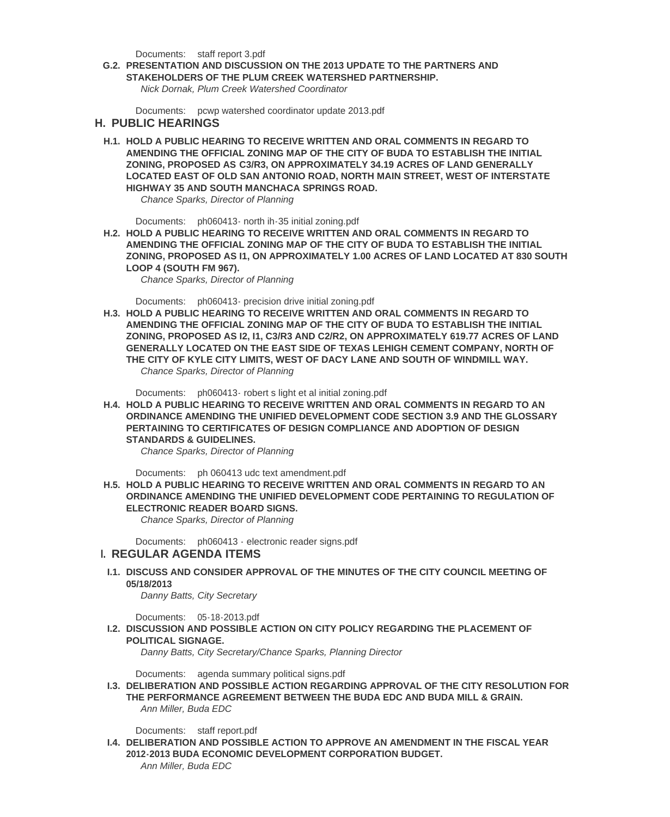Documents: staff report 3.pdf

**PRESENTATION AND DISCUSSION ON THE 2013 UPDATE TO THE PARTNERS AND G.2. STAKEHOLDERS OF THE PLUM CREEK WATERSHED PARTNERSHIP.**

*Nick Dornak, Plum Creek Watershed Coordinator*

Documents: [pcwp watershed](http://ci.buda.tx.us/AgendaCenter/ViewFile/Item/341?fileID=810) coordinator update 2013.pdf

#### **PUBLIC HEARINGS H.**

H.1. HOLD A PUBLIC HEARING TO RECEIVE WRITTEN AND ORAL COMMENTS IN REGARD TO **AMENDING TH[E OFFICIAL ZONING MAP OF THE CITY OF](http://ci.buda.tx.us/AgendaCenter/ViewFile/Item/346?fileID=795) BUDA TO ESTABLISH THE INITIAL ZONING, PROPOSED AS C3/R3, ON APPROXIMATELY 34.19 ACRES OF LAND GENERALLY LOCATED EAST OF OLD SAN ANTONIO ROAD, NORTH MAIN STREET, WEST OF INTERSTATE HIGHWAY 35 AND SOUTH MANCHACA SPRINGS ROAD.** 

*Chance Sparks, Director of Planning*

Documents: ph060413- north ih-35 initial zoning.pdf

H.2. HOLD A PUBLIC HEARING TO RECEIVE WRITTEN AND ORAL COMMENTS IN REGARD TO **AMENDING THE OFFICIAL ZONING MAP OF THE CITY OF BUDA TO ESTABLISH THE INITIAL ZONING, PROPOSED AS I1, ON APPROXIMATELY 1.00 ACRES OF LAND LOCATED AT 830 SOUTH LOOP 4 (SOUT[H FM 967\).](http://ci.buda.tx.us/AgendaCenter/ViewFile/Item/335?fileID=796)**

*Chance Sparks, Director of Planning*

Documents: ph060413- precision drive initial zoning.pdf

H.3. HOLD A PUBLIC HEARING TO RECEIVE WRITTEN AND ORAL COMMENTS IN REGARD TO **AMENDING THE OFFICIAL ZONING MAP OF THE CITY OF BUDA TO ESTABLISH THE INITIAL ZONING, PROPOSED AS I2, I1, C3/R3 AND C2/R2, ON APPROXIMATELY 619.77 ACRES OF LAND GENERALLY L[OCATED ON THE EAST SIDE OF TEXAS L](http://ci.buda.tx.us/AgendaCenter/ViewFile/Item/337?fileID=799)EHIGH CEMENT COMPANY, NORTH OF THE CITY OF KYLE CITY LIMITS, WEST OF DACY LANE AND SOUTH OF WINDMILL WAY.**  *Chance Sparks, Director of Planning*

Documents: ph060413- robert s light et al initial zoning.pdf

H.4. HOLD A PUBLIC HEARING TO RECEIVE WRITTEN AND ORAL COMMENTS IN REGARD TO AN **ORDINANCE AMENDING THE UNIFIED DEVELOPMENT CODE SECTION 3.9 AND THE GLOSSARY PERTAINING TO CERTIFICATES OF DESIGN COMPLIANCE AND ADOPTION OF DESIGN STANDARDS & [GUIDELINES.](http://ci.buda.tx.us/AgendaCenter/ViewFile/Item/333?fileID=794)**

*Chance Sparks, Director of Planning*

Documents: ph 060413 udc text amendment.pdf

H.5. HOLD A PUBLIC HEARING TO RECEIVE WRITTEN AND ORAL COMMENTS IN REGARD TO AN **ORDINANCE AMENDING THE UNIFIED DEVELOPMENT CODE PERTAINING TO REGULATION OF ELECTRONIC READER BOARD SIGNS.**

*Chance Spar[ks, Director of Planning](http://ci.buda.tx.us/AgendaCenter/ViewFile/Item/331?fileID=791)*

Documents: ph060413 - electronic reader signs.pdf

### **REGULAR AGENDA ITEMS I.**

**DISCUSS AND CONSIDER APPROVAL OF THE MINUTES OF THE CITY COUNCIL MEETING OF I.1. 05/18/2013**

*Danny Batts, [City Secretary](http://ci.buda.tx.us/AgendaCenter/ViewFile/Item/329?fileID=790)*

05-18-2013.pdf Documents:

**DISCUSSION AND POSSIBLE ACTION ON CITY POLICY REGARDING THE PLACEMENT OF I.2. POLITICAL SIGNAGE.**

*Danny Batts, City Secretary/Chance Sparks, Planning Director*

Documents: [agenda summa](http://ci.buda.tx.us/AgendaCenter/ViewFile/Item/345?fileID=809)ry political signs.pdf

**DELIBERATION AND POSSIBLE ACTION REGARDING APPROVAL OF THE CITY RESOLUTION FOR I.3. THE PERFORMANCE AGREEMENT BETWEEN THE BUDA EDC AND BUDA MILL & GRAIN.** *Ann Miller, Buda EDC*

Documents: [staff report.pdf](http://ci.buda.tx.us/AgendaCenter/ViewFile/Item/352?fileID=815)

**DELIBERATION AND POSSIBLE ACTION TO APPROVE AN AMENDMENT IN THE FISCAL YEAR I.4. 2012-2013 BUDA ECONOMIC DEVELOPMENT CORPORATION BUDGET.** *Ann Miller, Buda EDC*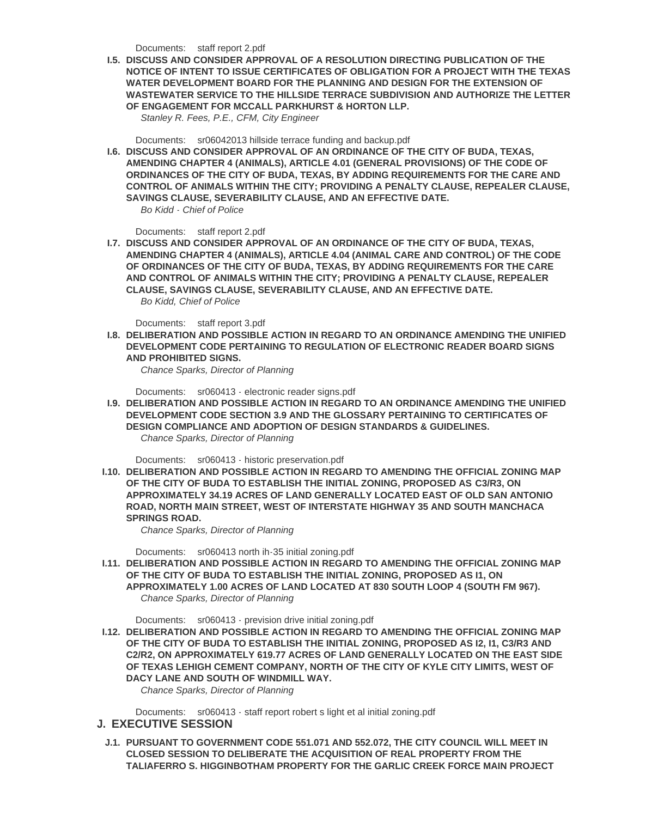- staff report 2.pdf Documents:
- **DISCUSS AND CONSIDER APPROVAL OF A RESOLUTION DIRECTING PUBLICATION OF THE I.5. NOTICE OF INTENT TO ISSUE CERTIFICATES OF OBLIGATION FOR A PROJECT WITH THE TEXAS WATER DEVELOPMENT BOARD FOR THE PLANNING AND DESIGN FOR THE EXTENSION OF WASTEWATER [SERVICE TO TH](http://ci.buda.tx.us/AgendaCenter/ViewFile/Item/349?fileID=805)E HILLSIDE TERRACE SUBDIVISION AND AUTHORIZE THE LETTER OF ENGAGEMENT FOR MCCALL PARKHURST & HORTON LLP.**

*Stanley R. Fees, P.E., CFM, City Engineer*

Documents: sr06042013 hillside terrace funding and backup.pdf

**DISCUSS AND CONSIDER APPROVAL OF AN ORDINANCE OF THE CITY OF BUDA, TEXAS, I.6. AMENDING CHAPTER 4 (ANIMALS), ARTICLE 4.01 (GENERAL PROVISIONS) OF THE CODE OF ORDINANCES OF THE CITY OF BUDA, TEXAS, BY ADDING REQUIREMENTS FOR THE CARE AND CONTROL OF A[NIMALS WITHIN THE CITY; PROVIDING A PENA](http://ci.buda.tx.us/AgendaCenter/ViewFile/Item/308?fileID=808)LTY CLAUSE, REPEALER CLAUSE, SAVINGS CLAUSE, SEVERABILITY CLAUSE, AND AN EFFECTIVE DATE.** *Bo Kidd - Chief of Police*

Documents: staff report 2.pdf

**DISCUSS AND CONSIDER APPROVAL OF AN ORDINANCE OF THE CITY OF BUDA, TEXAS, I.7. AMENDING CHAPTER 4 (ANIMALS), ARTICLE 4.04 (ANIMAL CARE AND CONTROL) OF THE CODE OF ORDINANCES OF THE CITY OF BUDA, TEXAS, BY ADDING REQUIREMENTS FOR THE CARE AND CONTROL [OF ANIMALS W](http://ci.buda.tx.us/AgendaCenter/ViewFile/Item/326?fileID=812)ITHIN THE CITY; PROVIDING A PENALTY CLAUSE, REPEALER CLAUSE, SAVINGS CLAUSE, SEVERABILITY CLAUSE, AND AN EFFECTIVE DATE.** *Bo Kidd, Chief of Police*

Documents: staff report 3.pdf

**DELIBERATION AND POSSIBLE ACTION IN REGARD TO AN ORDINANCE AMENDING THE UNIFIED I.8. DEVELOPMENT CODE PERTAINING TO REGULATION OF ELECTRONIC READER BOARD SIGNS AND PROHIBITED SIGNS.**

*Chance Spar[ks, Director of Pl](http://ci.buda.tx.us/AgendaCenter/ViewFile/Item/351?fileID=813)anning*

Documents: sr060413 - electronic reader signs.pdf

**DELIBERATION AND POSSIBLE ACTION IN REGARD TO AN ORDINANCE AMENDING THE UNIFIED I.9. DEVELOPMENT CODE SECTION 3.9 AND THE GLOSSARY PERTAINING TO CERTIFICATES OF DESIGN COMPLIANCE AND ADOPTION OF DESIGN STANDARDS & GUIDELINES.**  *Chance Spar[ks, Director of Planning](http://ci.buda.tx.us/AgendaCenter/ViewFile/Item/328?fileID=803)*

Documents: sr060413 - historic preservation.pdf

**DELIBERATION AND POSSIBLE ACTION IN REGARD TO AMENDING THE OFFICIAL ZONING MAP I.10. OF THE CITY OF BUDA TO ESTABLISH THE INITIAL ZONING, PROPOSED AS C3/R3, ON APPROXIMATELY 34.19 ACRES OF LAND GENERALLY LOCATED EAST OF OLD SAN ANTONIO ROAD, NORTH [MAIN STREET, WEST OF INTERST](http://ci.buda.tx.us/AgendaCenter/ViewFile/Item/330?fileID=792)ATE HIGHWAY 35 AND SOUTH MANCHACA SPRINGS ROAD.** 

*Chance Sparks, Director of Planning*

Documents: sr060413 north ih-35 initial zoning.pdf

**DELIBERATION AND POSSIBLE ACTION IN REGARD TO AMENDING THE OFFICIAL ZONING MAP I.11. OF THE CITY OF BUDA TO ESTABLISH THE INITIAL ZONING, PROPOSED AS I1, ON APPROXIMATELY 1.00 ACRES OF LAND LOCATED AT 830 SOUTH LOOP 4 (SOUTH FM 967).** *Chance Spar[ks, Director of Planning](http://ci.buda.tx.us/AgendaCenter/ViewFile/Item/334?fileID=797)*

Documents: sr060413 - prevision drive initial zoning.pdf

**DELIBERATION AND POSSIBLE ACTION IN REGARD TO AMENDING THE OFFICIAL ZONING MAP I.12. OF THE CITY OF BUDA TO ESTABLISH THE INITIAL ZONING, PROPOSED AS I2, I1, C3/R3 AND C2/R2, ON APPROXIMATELY 619.77 ACRES OF LAND GENERALLY LOCATED ON THE EAST SIDE OF TEXAS LEHI[GH CEMENT COMPANY, NORTH OF TH](http://ci.buda.tx.us/AgendaCenter/ViewFile/Item/336?fileID=798)E CITY OF KYLE CITY LIMITS, WEST OF DACY LANE AND SOUTH OF WINDMILL WAY.** 

*Chance Sparks, Director of Planning*

Documents: sr060413 - staff report robert s light et al initial zoning.pdf

#### **EXECUTIVE SESSION J.**

**PURSUANT TO GOVERNMENT CODE 551.071 AND 552.072, THE CITY COUNCIL WILL MEET IN J.1. CLOSED SESSION TO DELIBERATE THE ACQUISITION OF REAL PROPERTY FROM THE TALIAFERRO S. [HIGGINBOTHAM PROPERTY FOR THE GARLIC CREE](http://ci.buda.tx.us/AgendaCenter/ViewFile/Item/332?fileID=793)K FORCE MAIN PROJECT**